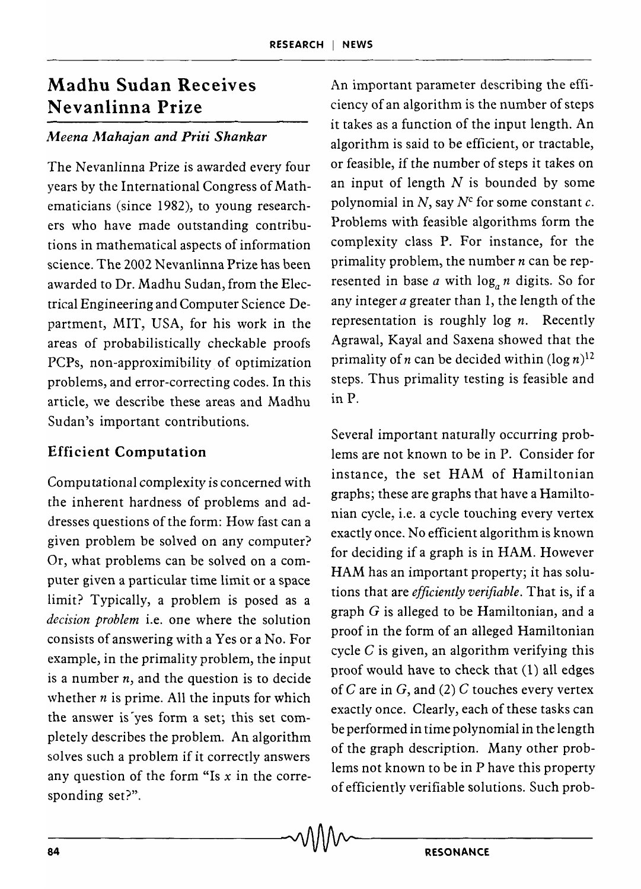# Madhu Sudan Receives Nevanlinna Prize

#### *Meena A1.ahajan and Priti Shankar*

The Nevanlinna Prize is awarded every four years by the International Congress of Mathematicians (since 1982), to young researchers who have made outstanding contributions in mathematical aspects of information science. The 2002 Nevanlinna Prize has been awarded to Dr. Madhu Sudan, from the Electrical Engineering and Computer Science Department, MIT, USA, for his work in the areas of probabilistically checkable proofs PCPs, non-approximibility of optimization problems, and error-correcting codes. In this article, we describe these areas and Madhu Sudan's important contributions.

### Efficient Computation

Computational complexity is concerned with the inherent hardness of problems and addresses questions of the form: How fast can a given problem be solved on any computer? Or, what problems can be solved on a computer given a particular time limit or a space limit? Typically, a problem is posed as a *decision problem* i.e. one where the solution consists of answering with a Yes or a No. For example, in the primality problem, the input is a number *n,* and the question is to decide whether  $n$  is prime. All the inputs for which the answer is yes form a set; this set completely describes the problem. An algorithm solves such a problem if it correctly answers any question of the form "Is *x* in the corresponding set?".

An important parameter describing the efficiency of an algorithm is the number of steps it takes as a function of the input length. An algorithm is said to be efficient, or tractable, or feasible, if the number of steps it takes on an input of length *N* is bounded by some polynomial in  $N$ , say  $N^c$  for some constant  $c$ . Problems with feasible algorithms form the complexity class P. For instance, for the primality problem, the number *n* can be represented in base  $a$  with  $\log_a n$  digits. So for any integer *a* greater than 1, the length of the representation is roughly log *n.* Recently Agrawal, Kayal and Saxena showed that the primality of *n* can be decided within  $(\log n)^{12}$ steps. Thus primality testing is feasible and in P.

Several important naturally occurring problems are not known to be in P. Consider for instance, the set HAM of Hamiltonian graphs; these are graphs that have a Hamiltonian cycle, i.e. a cycle touching every vertex exactly once. No efficient algorithm is known for deciding if a graph is in HAM. However HAM has an important property; it has solutions that are *efficiently verifiable.* That is, if a graph  $G$  is alleged to be Hamiltonian, and a proof in the form of an alleged Hamiltonian cycle  $C$  is given, an algorithm verifying this proof would have to check that (1) all edges of C are in G, and (2) C touches every vertex exactly once. Clearly, each of these tasks can be performed in time polynomial in the length of the graph description. Many other problems not known to be in P have this property of efficiently verifiable solutions. Such prob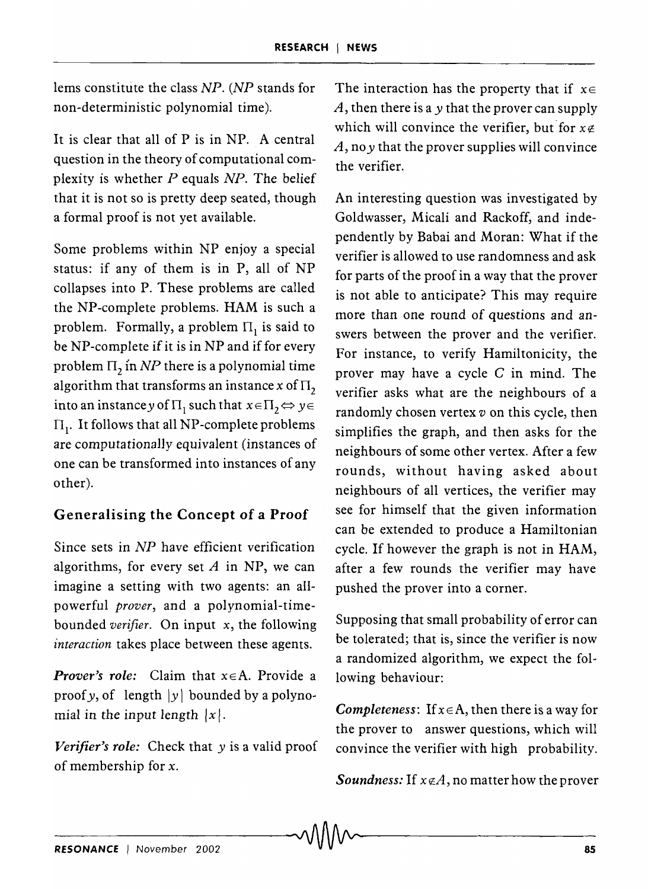lems constitute the class *NP*. (*NP* stands for The interaction has the property that if  $x \in$ 

It is clear that all of P is in NP. A central question in the theory of computational complexity is whether *P* equals *NP.* The belief that it is not so is pretty deep seated, though a formal proof is not yet available.

Some problems within NP enjoy a special status: if any of them is in P, all of NP collapses into P. These problems are called the NP-complete problems. HAM is such a problem. Formally, a problem  $\Pi_1$  is said to be NP-complete if it is in NP and if for every problem  $\Pi_2$  in *NP* there is a polynomial time algorithm that transforms an instance x of  $\Pi$ <sub>2</sub> into an instance y of  $\Pi_1$  such that  $x \in \Pi_2 \Leftrightarrow y \in \Pi_1$  $\Pi_1$ . It follows that all NP-complete problems are computationally equivalent (instances of one can be transformed into instances of any other).

# Generalising the Concept of a Proof

Since sets in *NP* have efficient verification algorithms, for every set *A* in NP, we can imagine a setting with two agents: an allpowerful *prover,* and a polynomial-timebounded *verifier.* On input *x,* the following *interaction* takes place between these agents.

*Prover's role:* Claim that  $x \in A$ . Provide a proof *y*, of length  $|y|$  bounded by a polynomial in the input length  $|x|$ .

*Verifier's role:* Check that y is a valid proof of membership for x.

non-deterministic polynomial time).  $A$ , then there is a *y* that the prover can supply which will convince the verifier, but for  $x \notin$ A, no *y* that the prover supplies will convince the verifier.

> An interesting question was investigated by Goldwasser, Micali and Rackoff, and independently by Babai and Moran: What if the verifier is allowed to use randomness and ask for parts of the proof in a way that the prover is not able to anticipate? This may require more than one round of questions and answers between the prover and the verifier. For instance, to verify Hamiltonicity, the prover may have a cycle C in mind. The verifier asks what are the neighbours of a randomly chosen vertex *v* on this cycle, then simplifies the graph, and then asks for the neighbours of some other vertex. After a few rounds, without having asked about neighbours of all vertices, the verifier may see for himself that the given information can be extended to produce a Hamiltonian cycle. If however the graph is not in HAM, after a few rounds the verifier may have pushed the prover into a corner.

> Supposing that small probability of error can be tolerated; that is, since the verifier is now a randomized algorithm, we expect the following behaviour:

> *Completeness:* If  $x \in A$ , then there is a way for the prover to answer questions, which will convince the verifier with high probability.

> *Soundness:* If  $x \notin A$ , no matter how the prover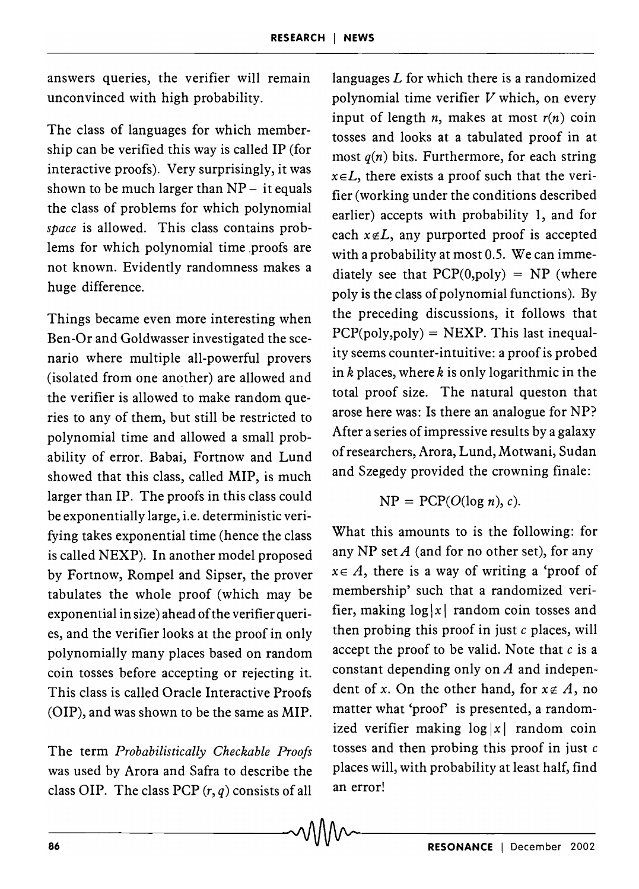answers queries, the verifier will remain unconvinced with high probability.

The class of languages for which membership can be verified this way is called IP (for interactive proofs). Very surprisingly, it was shown to be much larger than  $NP -$  it equals the class of problems for which polynomial *space* is allowed. This class contains problems for which polynomial time proofs are not known. Evidently randomness makes a huge difference.

Things became even more interesting when Ben-Or and Goldwasser investigated the scenario where multiple all-powerful provers (isolated from one another) are allowed and the verifier is allowed to make random queries to any of them, but still be restricted to polynomial time and allowed a small probability of error. Babai, Fortnow and Lund showed that this class, called MIP, is much larger than IP. The proofs in this class could be exponentially large, i.e. deterministic verifying takes exponential time (hence the class is called NEXP). In another model proposed by Fortnow, Rompel and Sipser, the prover tabulates the whole proof (which may be exponential in size) ahead ofthe verifier queries, and the verifier looks at the proof in only polynomially many places based on random coin tosses before accepting or rejecting it. This class is called Oracle Interactive Proofs (OIP), and was shown to be the same as MIP.

The term *Probabilistically Checkable Proofs*  was used by Arora and Safra to describe the class OIP. The class PCP  $(r, q)$  consists of all

languages  $L$  for which there is a randomized polynomial time verifier  $V$  which, on every input of length *n*, makes at most  $r(n)$  coin tosses and looks at a tabulated proof in at most  $q(n)$  bits. Furthermore, for each string  $x \in L$ , there exists a proof such that the verifier (working under the conditions described earlier) accepts with probability 1, and for each  $x \notin L$ , any purported proof is accepted with a probability at most 0.5. We can immediately see that  $PCP(0, poly) = NP$  (where poly is the class of polynomial functions). By the preceding discussions, it follows that  $PCP(poly, poly) = NEXP$ . This last inequality seems counter-intuitive: a proof is probed in  $k$  places, where  $k$  is only logarithmic in the total proof size. The natural queston that arose here was: Is there an analogue for NP? After a series of impressive results by a galaxy of researchers, Arora, Lund, Motwani, Sudan and Szegedy provided the crowning finale:

$$
NP = PCP(O(\log n), c).
$$

What this amounts to is the following: for any NP set *A* (and for no other set), for any  $x \in A$ , there is a way of writing a 'proof of membership' such that a randomized verifier, making  $\log |x|$  random coin tosses and then probing this proof in just  $c$  places, will accept the proof to be valid. Note that  $c$  is a constant depending only on *A* and independent of *x*. On the other hand, for  $x \notin A$ , no matter what 'proof' is presented, a randomized verifier making  $log |x|$  random coin tosses and then probing this proof in just  $c$ places will, with probability at least half, find an error!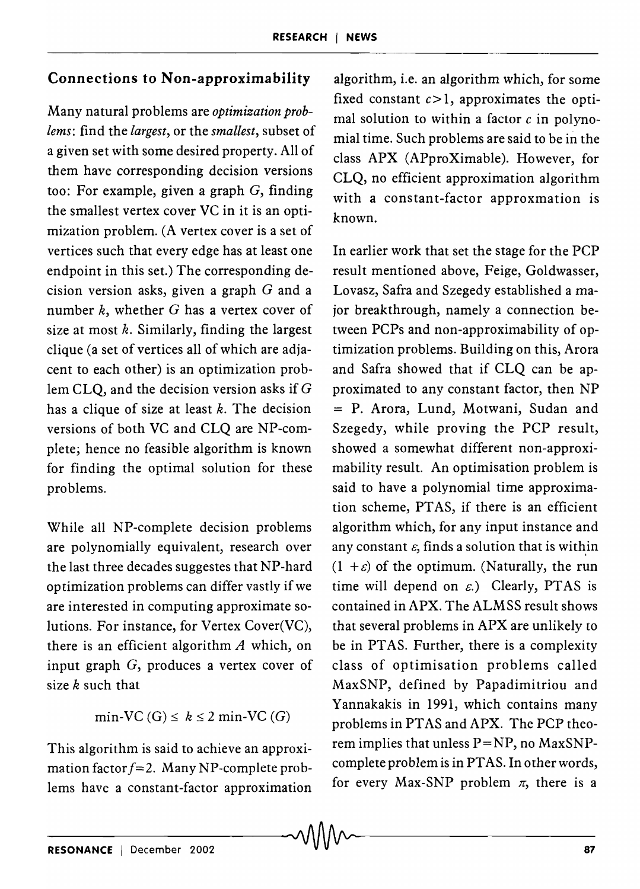## Connections to Non-approximability

Many natural pro blems are *optimization problems:* find the *largest,* or the *smallest,* subset of a given set with some desired property. All of them have corresponding decision versions too: For example, given a graph  $G$ , finding the smallest vertex cover VC in it is an optimization problem. (A vertex cover is a set of vertices such that every edge has at least one endpoint in this set.) The corresponding decision version asks, given a graph  $G$  and a number  $k$ , whether  $G$  has a vertex cover of size at most  $k$ . Similarly, finding the largest clique (a set of vertices all of which are adjacent to each other) is an optimization problem CLQ, and the decision version asks if G has a clique of size at least  $k$ . The decision versions of both VC and CLQ are NP-complete; hence no feasible algorithm is known for finding the optimal solution for these problems.

While all NP-complete decision problems are polynomially equivalent, research over the last three decades suggestes that NP-hard optimization problems can differ vastly if we are interested in computing approximate solutions. For instance, for Vertex Cover(VC), there is an efficient algorithm *A* which, on input graph G, produces a vertex cover of size  $k$  such that

min-VC (G)  $\leq k \leq 2$  min-VC (G)

This algorithm is said to achieve an approximation factor  $f=2$ . Many NP-complete problems have a constant-factor approximation algorithm, i.e. an algorithm which, for some fixed constant  $c > 1$ , approximates the optimal solution to within a factor  $c$  in polynomial time. Such problems are said to be in the class APX (APproXimable). However, for CLQ, no efficient approximation algorithm with a constant-factor approxmation is known.

In earlier work that set the stage for the PCP result mentioned above, Feige, Goldwasser, Lovasz, Safra and Szegedy established a major breakthrough, namely a connection between PCPs and non-approximability of optimization problems. Building on this, Arora and Safra showed that if CLQ can be approximated to any constant factor, then NP = P. Arora, Lund, Motwani, Sudan and Szegedy, while proving the PCP result, showed a somewhat different non-approximability result. An optimisation problem is said to have a polynomial time approximation scheme, PT AS, if there is an efficient algorithm which, for any input instance and any constant  $\varepsilon$ , finds a solution that is within  $(1 + \varepsilon)$  of the optimum. (Naturally, the run time will depend on  $\varepsilon$ .) Clearly, PTAS is contained in APX. The ALMSS result shows that several problems in APX are unlikely to be in PTAS. Further, there is a complexity class of optimisation problems called MaxSNP, defined by Papadimitriou and Yannakakis in 1991, which contains many problems in PT AS and APX. The PCP theorem implies that unless  $P=NP$ , no MaxSNPcomplete problem is in PT AS. In other words, for every Max-SNP problem  $\pi$ , there is a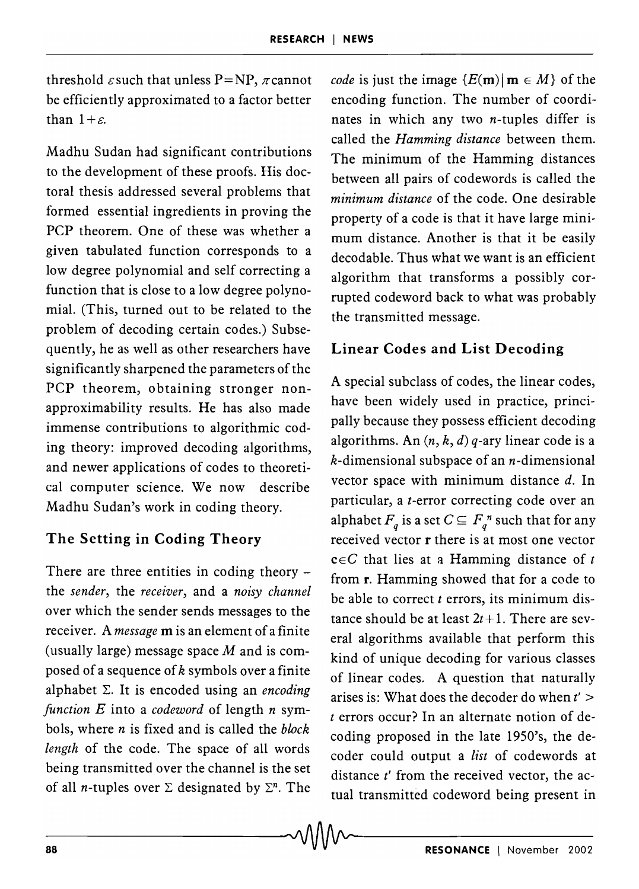$\sim 0.000$ 

threshold  $\varepsilon$  such that unless P=NP,  $\pi$  cannot be efficiently approximated to a factor better than  $1 + \varepsilon$ .

Madhu Sudan had significant contributions to the development of these proofs. His doctoral thesis addressed several problems that formed essential ingredients in proving the PCP theorem. One of these was whether a given tabulated function corresponds to a low degree polynomial and self correcting a function that is close to a low degree polynomial. (This, turned out to be related to the problem of decoding certain codes.) Subsequently, he as well as other researchers have significantly sharpened the parameters of the PCP theorem, obtaining stronger nonapproximability results. He has also made immense contributions to algorithmic coding theory: improved decoding algorithms, and newer applications of codes to theoretical computer science. We now describe Madhu Sudan's work in coding theory.

## The Setting in Coding Theory

There are three entities in coding theory  $$ the *sender,* the *receiver,* and a *noisy channel*  over which the sender sends messages to the receiver. A *message* m is an element of a finite (usually large) message space  $M$  and is composed of a sequence of  $k$  symbols over a finite alphabet  $\Sigma$ . It is encoded using an *encoding function E* into a *codeword* of length *n* symbols, where *n* is fixed and is called the *block length* of the code. The space of all words being transmitted over the channel is the set of all *n*-tuples over  $\Sigma$  designated by  $\Sigma<sup>n</sup>$ . The

*code* is just the image  ${E(m) | m \in M}$  of the encoding function. The number of coordinates in which any two  $n$ -tuples differ is called the *Hamming distance* between them. The minimum of the Hamming distances between all pairs of codewords is called the *minimum distance* of the code. One desirable property of a code is that it have large minimum distance. Another is that it be easily decodable. Thus what we want is an efficient algorithm that transforms a possibly corrupted codeword back to what was probably the transmitted message.

## Linear Codes and List Decoding

A special subclass of codes, the linear codes, have been widely used in practice, principally because they possess efficient decoding algorithms. An  $(n, k, d)$  q-ary linear code is a  $k$ -dimensional subspace of an  $n$ -dimensional vector space with minimum distance d. In particular, a *t-error* correcting code over an alphabet  $F_q$  is a set  $C \subseteq F_q^n$  such that for any received vector r there is at most one vector  $c \in C$  that lies at a Hamming distance of  $t$ from r. Hamming showed that for a code to be able to correct *t* errors, its minimum distance should be at least  $2t+1$ . There are several algorithms available that perform this kind of unique decoding for various classes of linear codes. A question that naturally arises is: What does the decoder do when  $t'$  > *t* errors occur? In an alternate notion of decoding proposed in the late 1950's, the decoder could output a *list* of codewords at distance *t'* from the received vector, the actual transmitted codeword being present in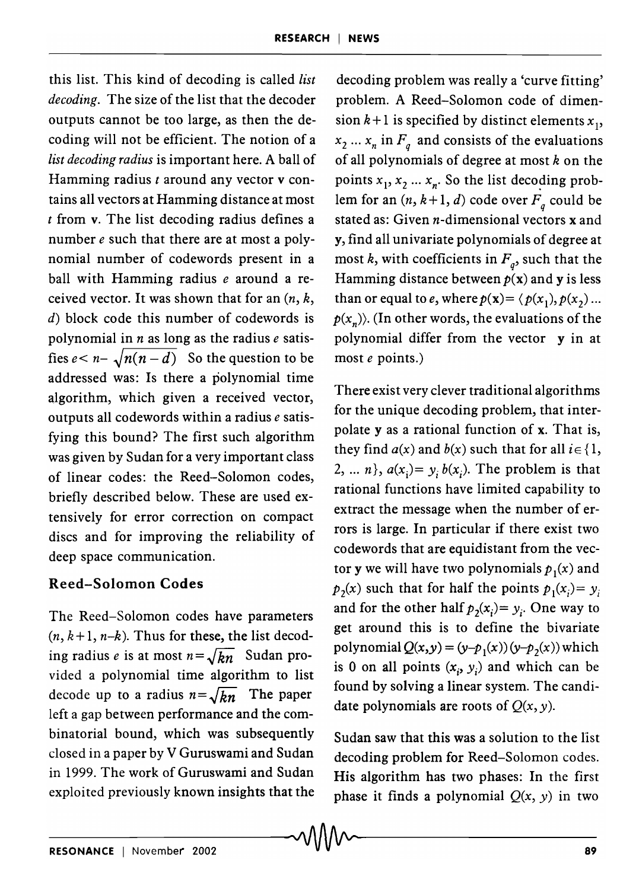this list. This kind of decoding is called *list decoding.* The size of the list that the decoder outputs cannot be too large, as then the decoding will not be efficient. The notion of a *list decoding radius* is important here. A ball of Hamming radius *t* around any vector v contains all vectors at Hamming distance at most *t* from v. The list decoding radius defines a number *e* such that there are at most a polynomial number of codewords present in a ball with Hamming radius *e* around a received vector. It was shown that for an *(n,* k, d) block code this number of codewords is polynomial in *n* as long as the radius *e* satisfies  $e < n - \sqrt{n(n-d)}$  So the question to be addressed was: Is there a polynomial time algorithm, which given a received vector, outputs all codewords within a radius *e* satisfying this bound? The first such algorithm was given by Sudan for a very important class of linear codes: the Reed-Solomon codes, briefly described below. These are used extensively for error correction on compact discs and for improving the reliability of deep space communication.

#### Reed-Solomon Codes

The Reed-Solomon codes have parameters  $(n, k+1, n-k)$ . Thus for these, the list decoding radius *e* is at most  $n = \sqrt{kn}$  Sudan provided a polynomial time algorithm to list decode up to a radius  $n = \sqrt{kn}$  The paper left a gap between performance and the combinatorial bound, which was subsequently closed in a paper by V Guruswami and Sudan in 1999. The work of Guruswami and Sudan exploited previously known insights that the

decoding problem was really a 'curve fitting' problem. A Reed-Solomon code of dimension  $k+1$  is specified by distinct elements  $x_1$ ,  $x_2 \ldots x_n$  in  $F_q$  and consists of the evaluations of all polynomials of degree at most *k* on the points  $x_1, x_2 ... x_n$ . So the list decoding problem for an  $(n, k+1, d)$  code over  $F_q$  could be stated as: Given *n*-dimensional vectors **x** and y, find all univariate polynomials of degree at most *k*, with coefficients in  $F_q$ , such that the Hamming distance between  $p(x)$  and y is less than or equal to *e*, where  $p(\mathbf{x}) = \langle p(x_1), p(x_2) \dots \rangle$  $p(x_n)$ . (In other words, the evaluations of the polynomial differ from the vector y in at most *e* points.)

There exist very clever traditional algorithms for the unique decoding problem, that interpolate y as a rational function of x. That is, they find  $a(x)$  and  $b(x)$  such that for all  $i \in \{1,$ 2, ... *n*,  $a(x_i) = y_i b(x_i)$ . The problem is that rational functions have limited capability to extract the message when the number of errors is large. In particular if there exist two codewords that are equidistant from the vector **y** we will have two polynomials  $p_1(x)$  and  $p_1(x)$  such that for half the points  $p_1(x_i) = y_i$ and for the other half  $p_2(x_i) = y_i$ . One way to get around this is to define the bivariate polynomial  $Q(x,y) = (y-p_1(x))(y-p_2(x))$  which is 0 on all points  $(x_i, y_i)$  and which can be found by solving a linear system. The candidate polynomials are roots of  $Q(x, y)$ .

Sudan saw that this was a solution to the list decoding problem for Reed-Solomon codes. His algorithm has two phases: In the first phase it finds a polynomial  $Q(x, y)$  in two